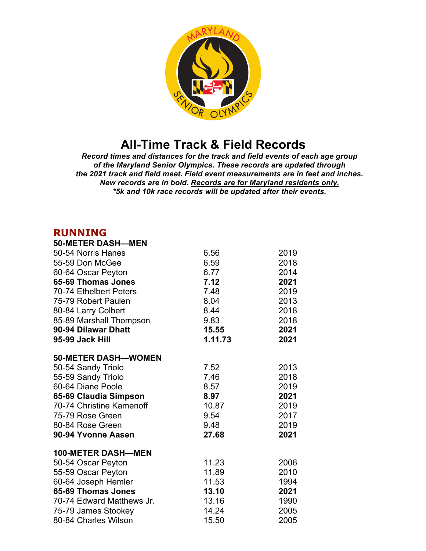

## **All-Time Track & Field Records**

*Record times and distances for the track and field events of each age group of the Maryland Senior Olympics. These records are updated through the 2021 track and field meet. Field event measurements are in feet and inches. New records are in bold. Records are for Maryland residents only. \*5k and 10k race records will be updated after their events.*

## **RUNNING**

| <b>50-METER DASH-MEN</b>   |         |      |
|----------------------------|---------|------|
| 50-54 Norris Hanes         | 6.56    | 2019 |
| 55-59 Don McGee            | 6.59    | 2018 |
| 60-64 Oscar Peyton         | 6.77    | 2014 |
| 65-69 Thomas Jones         | 7.12    | 2021 |
| 70-74 Ethelbert Peters     | 7.48    | 2019 |
| 75-79 Robert Paulen        | 8.04    | 2013 |
| 80-84 Larry Colbert        | 8.44    | 2018 |
| 85-89 Marshall Thompson    | 9.83    | 2018 |
| 90-94 Dilawar Dhatt        | 15.55   | 2021 |
| 95-99 Jack Hill            | 1.11.73 | 2021 |
| <b>50-METER DASH-WOMEN</b> |         |      |
| 50-54 Sandy Triolo         | 7.52    | 2013 |
| 55-59 Sandy Triolo         | 7.46    | 2018 |
| 60-64 Diane Poole          | 8.57    | 2019 |
| 65-69 Claudia Simpson      | 8.97    | 2021 |
| 70-74 Christine Kamenoff   | 10.87   | 2019 |
| 75-79 Rose Green           | 9.54    | 2017 |
| 80-84 Rose Green           | 9.48    | 2019 |
| 90-94 Yvonne Aasen         | 27.68   | 2021 |
| <b>100-METER DASH-MEN</b>  |         |      |
| 50-54 Oscar Peyton         | 11.23   | 2006 |
| 55-59 Oscar Peyton         | 11.89   | 2010 |
| 60-64 Joseph Hemler        | 11.53   | 1994 |
| 65-69 Thomas Jones         | 13.10   | 2021 |
| 70-74 Edward Matthews Jr.  | 13.16   | 1990 |
| 75-79 James Stookey        | 14.24   | 2005 |
| 80-84 Charles Wilson       | 15.50   | 2005 |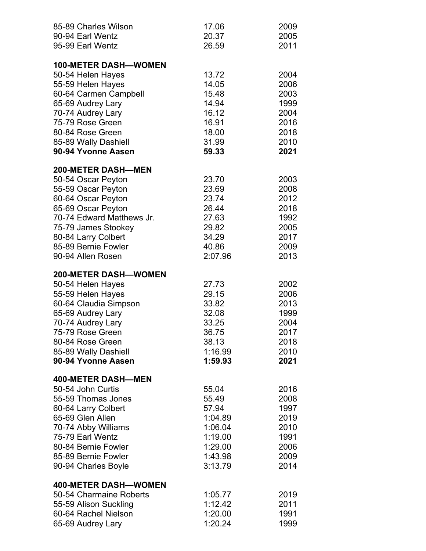| 85-89 Charles Wilson        | 17.06   | 2009 |
|-----------------------------|---------|------|
| 90-94 Earl Wentz            | 20.37   | 2005 |
| 95-99 Earl Wentz            | 26.59   | 2011 |
|                             |         |      |
| <b>100-METER DASH-WOMEN</b> |         |      |
| 50-54 Helen Hayes           | 13.72   | 2004 |
| 55-59 Helen Hayes           | 14.05   | 2006 |
| 60-64 Carmen Campbell       | 15.48   | 2003 |
| 65-69 Audrey Lary           | 14.94   | 1999 |
| 70-74 Audrey Lary           | 16.12   | 2004 |
| 75-79 Rose Green            | 16.91   | 2016 |
| 80-84 Rose Green            | 18.00   | 2018 |
| 85-89 Wally Dashiell        | 31.99   | 2010 |
| 90-94 Yvonne Aasen          | 59.33   | 2021 |
| <b>200-METER DASH-MEN</b>   |         |      |
| 50-54 Oscar Peyton          | 23.70   | 2003 |
| 55-59 Oscar Peyton          | 23.69   | 2008 |
| 60-64 Oscar Peyton          | 23.74   | 2012 |
| 65-69 Oscar Peyton          | 26.44   | 2018 |
| 70-74 Edward Matthews Jr.   | 27.63   | 1992 |
| 75-79 James Stookey         | 29.82   | 2005 |
| 80-84 Larry Colbert         | 34.29   | 2017 |
| 85-89 Bernie Fowler         | 40.86   | 2009 |
| 90-94 Allen Rosen           | 2:07.96 | 2013 |
|                             |         |      |
| <b>200-METER DASH-WOMEN</b> |         |      |
| 50-54 Helen Hayes           | 27.73   | 2002 |
| 55-59 Helen Hayes           | 29.15   | 2006 |
| 60-64 Claudia Simpson       | 33.82   | 2013 |
| 65-69 Audrey Lary           | 32.08   | 1999 |
| 70-74 Audrey Lary           | 33.25   | 2004 |
| 75-79 Rose Green            | 36.75   | 2017 |
| 80-84 Rose Green            | 38.13   | 2018 |
| 85-89 Wally Dashiell        | 1:16.99 | 2010 |
| 90-94 Yvonne Aasen          | 1:59.93 | 2021 |
| <b>400-METER DASH-MEN</b>   |         |      |
| 50-54 John Curtis           | 55.04   | 2016 |
| 55-59 Thomas Jones          | 55.49   | 2008 |
| 60-64 Larry Colbert         | 57.94   | 1997 |
| 65-69 Glen Allen            | 1:04.89 | 2019 |
| 70-74 Abby Williams         | 1:06.04 | 2010 |
| 75-79 Earl Wentz            | 1:19.00 | 1991 |
| 80-84 Bernie Fowler         | 1:29.00 | 2006 |
| 85-89 Bernie Fowler         | 1:43.98 | 2009 |
| 90-94 Charles Boyle         | 3:13.79 | 2014 |
|                             |         |      |
| <b>400-METER DASH-WOMEN</b> |         |      |
| 50-54 Charmaine Roberts     | 1:05.77 | 2019 |
| 55-59 Alison Suckling       | 1:12.42 | 2011 |
| 60-64 Rachel Nielson        | 1:20.00 | 1991 |
| 65-69 Audrey Lary           | 1:20.24 | 1999 |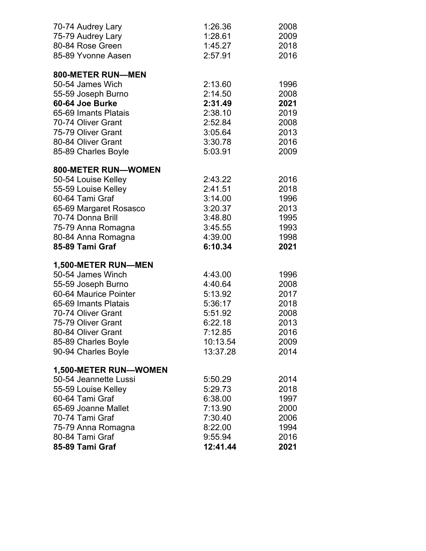| 70-74 Audrey Lary      | 1:26.36  | 2008 |
|------------------------|----------|------|
| 75-79 Audrey Lary      | 1:28.61  | 2009 |
| 80-84 Rose Green       | 1:45.27  | 2018 |
| 85-89 Yvonne Aasen     | 2:57.91  | 2016 |
| 800-METER RUN-MEN      |          |      |
| 50-54 James Wich       | 2:13.60  | 1996 |
| 55-59 Joseph Burno     | 2:14.50  | 2008 |
| 60-64 Joe Burke        | 2:31.49  | 2021 |
| 65-69 Imants Platais   | 2:38.10  | 2019 |
| 70-74 Oliver Grant     | 2:52.84  | 2008 |
| 75-79 Oliver Grant     | 3:05.64  | 2013 |
| 80-84 Oliver Grant     | 3:30.78  | 2016 |
| 85-89 Charles Boyle    | 5:03.91  | 2009 |
| 800-METER RUN-WOMEN    |          |      |
| 50-54 Louise Kelley    | 2:43.22  | 2016 |
| 55-59 Louise Kelley    | 2:41.51  | 2018 |
| 60-64 Tami Graf        | 3:14.00  | 1996 |
| 65-69 Margaret Rosasco | 3:20.37  | 2013 |
| 70-74 Donna Brill      | 3:48.80  | 1995 |
| 75-79 Anna Romagna     | 3:45.55  | 1993 |
| 80-84 Anna Romagna     | 4:39.00  | 1998 |
| 85-89 Tami Graf        | 6:10.34  | 2021 |
| 1,500-METER RUN-MEN    |          |      |
| 50-54 James Winch      | 4:43.00  | 1996 |
| 55-59 Joseph Burno     | 4:40.64  | 2008 |
| 60-64 Maurice Pointer  | 5:13.92  | 2017 |
| 65-69 Imants Platais   | 5:36:17  | 2018 |
| 70-74 Oliver Grant     | 5:51.92  | 2008 |
| 75-79 Oliver Grant     | 6:22.18  | 2013 |
| 80-84 Oliver Grant     | 7:12.85  | 2016 |
| 85-89 Charles Boyle    | 10:13.54 | 2009 |
| 90-94 Charles Boyle    | 13:37.28 | 2014 |
| 1,500-METER RUN-WOMEN  |          |      |
| 50-54 Jeannette Lussi  | 5:50.29  | 2014 |
| 55-59 Louise Kelley    | 5:29.73  | 2018 |
| 60-64 Tami Graf        | 6:38.00  | 1997 |
| 65-69 Joanne Mallet    | 7:13.90  | 2000 |
| 70-74 Tami Graf        | 7:30.40  | 2006 |
| 75-79 Anna Romagna     | 8:22.00  | 1994 |
| 80-84 Tami Graf        | 9:55.94  | 2016 |
| 85-89 Tami Graf        | 12:41.44 | 2021 |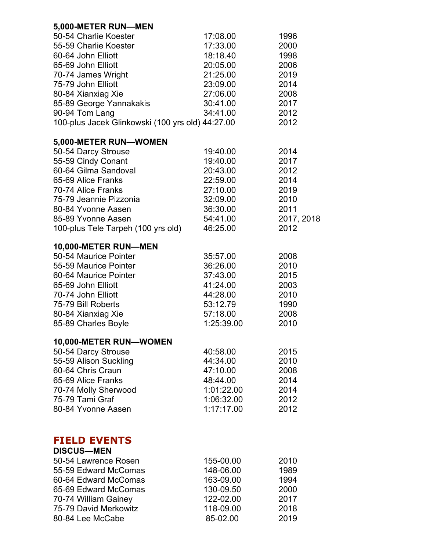| 5,000-METER RUN-MEN                              |                        |              |
|--------------------------------------------------|------------------------|--------------|
| 50-54 Charlie Koester                            | 17:08.00               | 1996         |
| 55-59 Charlie Koester                            | 17:33.00               | 2000         |
| 60-64 John Elliott                               | 18:18.40               | 1998         |
| 65-69 John Elliott                               | 20:05.00               | 2006         |
| 70-74 James Wright                               | 21:25.00               | 2019         |
| 75-79 John Elliott                               | 23:09.00               | 2014         |
| 80-84 Xianxiag Xie                               | 27:06.00               | 2008         |
| 85-89 George Yannakakis                          | 30:41.00               | 2017         |
| 90-94 Tom Lang                                   | 34:41.00               | 2012         |
| 100-plus Jacek Glinkowski (100 yrs old) 44:27.00 |                        | 2012         |
| 5,000-METER RUN-WOMEN                            |                        |              |
| 50-54 Darcy Strouse                              | 19:40.00               | 2014         |
| 55-59 Cindy Conant                               | 19:40.00               | 2017         |
| 60-64 Gilma Sandoval                             | 20:43.00               | 2012         |
| 65-69 Alice Franks                               | 22:59.00               | 2014         |
| 70-74 Alice Franks                               | 27:10.00               | 2019         |
| 75-79 Jeannie Pizzonia                           | 32:09.00               | 2010         |
| 80-84 Yvonne Aasen                               | 36:30.00               | 2011         |
| 85-89 Yvonne Aasen                               | 54:41.00               | 2017, 2018   |
| 100-plus Tele Tarpeh (100 yrs old)               | 46:25.00               | 2012         |
| 10,000-METER RUN-MEN                             |                        |              |
| 50-54 Maurice Pointer                            | 35:57.00               | 2008         |
| 55-59 Maurice Pointer                            | 36:26.00               | 2010         |
| 60-64 Maurice Pointer                            | 37:43.00               | 2015         |
| 65-69 John Elliott                               | 41:24.00               | 2003         |
| 70-74 John Elliott                               | 44:28.00               | 2010         |
| 75-79 Bill Roberts                               | 53:12.79               | 1990         |
| 80-84 Xianxiag Xie                               | 57:18.00               | 2008         |
| 85-89 Charles Boyle                              | 1:25:39.00             | 2010         |
| 10,000-METER RUN-WOMEN                           |                        |              |
| 50-54 Darcy Strouse                              | 40:58.00               | 2015         |
| 55-59 Alison Suckling                            | 44:34.00               | 2010         |
| 60-64 Chris Craun                                | 47:10.00               | 2008         |
| 65-69 Alice Franks                               | 48:44.00<br>1:01:22.00 | 2014<br>2014 |
| 70-74 Molly Sherwood<br>75-79 Tami Graf          | 1:06:32.00             | 2012         |
| 80-84 Yvonne Aasen                               | 1:17:17.00             | 2012         |
|                                                  |                        |              |
|                                                  |                        |              |
| <b>FIELD EVENTS</b><br><b>DISCUS-MEN</b>         |                        |              |
| 50-54 Lawrence Rosen                             | 155-00.00              | 2010         |
| 55-59 Edward McComas                             | 148-06.00              | 1989         |
| 60-64 Edward McComas                             | 163-09.00              | 1994         |
| 65-69 Edward McComas                             | 130-09.50              | 2000         |
| 70-74 William Gainey                             | 122-02.00              | 2017         |
| 75-79 David Merkowitz                            | 118-09.00              | 2018         |
| 80-84 Lee McCabe                                 | 85-02.00               | 2019         |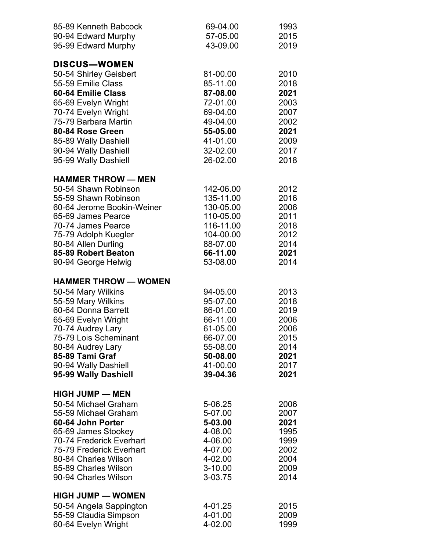| 85-89 Kenneth Babcock                        | 69-04.00             | 1993         |
|----------------------------------------------|----------------------|--------------|
| 90-94 Edward Murphy                          | 57-05.00             | 2015         |
| 95-99 Edward Murphy                          | 43-09.00             | 2019         |
|                                              |                      |              |
| DISCUS-WOMEN                                 |                      |              |
| 50-54 Shirley Geisbert                       | 81-00.00             | 2010         |
| 55-59 Emilie Class                           | 85-11.00             | 2018         |
| 60-64 Emilie Class                           | 87-08.00             | 2021         |
| 65-69 Evelyn Wright                          | 72-01.00             | 2003         |
| 70-74 Evelyn Wright                          | 69-04.00             | 2007         |
| 75-79 Barbara Martin<br>80-84 Rose Green     | 49-04.00<br>55-05.00 | 2002<br>2021 |
|                                              | 41-01.00             | 2009         |
| 85-89 Wally Dashiell                         | 32-02.00             | 2017         |
| 90-94 Wally Dashiell<br>95-99 Wally Dashiell | 26-02.00             | 2018         |
|                                              |                      |              |
| <b>HAMMER THROW - MEN</b>                    |                      |              |
| 50-54 Shawn Robinson                         | 142-06.00            | 2012         |
| 55-59 Shawn Robinson                         | 135-11.00            | 2016         |
| 60-64 Jerome Bookin-Weiner                   | 130-05.00            | 2006         |
| 65-69 James Pearce                           | 110-05.00            | 2011         |
| 70-74 James Pearce                           | 116-11.00            | 2018         |
| 75-79 Adolph Kuegler                         | 104-00.00            | 2012         |
| 80-84 Allen Durling                          | 88-07.00             | 2014         |
| 85-89 Robert Beaton                          | 66-11.00             | 2021         |
| 90-94 George Helwig                          | 53-08.00             | 2014         |
| <b>HAMMER THROW - WOMEN</b>                  |                      |              |
| 50-54 Mary Wilkins                           | 94-05.00             | 2013         |
| 55-59 Mary Wilkins                           | 95-07.00             | 2018         |
| 60-64 Donna Barrett                          | 86-01.00             | 2019         |
| 65-69 Evelyn Wright                          | 66-11.00             | 2006         |
| 70-74 Audrey Lary                            | 61-05.00             | 2006         |
| 75-79 Lois Scheminant                        | 66-07.00             | 2015         |
| 80-84 Audrey Lary                            | 55-08.00             | 2014         |
| 85-89 Tami Graf                              | 50-08.00             | 2021         |
| 90-94 Wally Dashiell                         | 41-00.00             | 2017         |
| 95-99 Wally Dashiell                         | 39-04.36             | 2021         |
| <b>HIGH JUMP - MEN</b>                       |                      |              |
| 50-54 Michael Graham                         | 5-06.25              | 2006         |
| 55-59 Michael Graham                         | 5-07.00              | 2007         |
| 60-64 John Porter                            | 5-03.00              | 2021         |
| 65-69 James Stookey                          | 4-08.00              | 1995         |
| 70-74 Frederick Everhart                     | 4-06.00              | 1999         |
| 75-79 Frederick Everhart                     | 4-07.00              | 2002         |
| 80-84 Charles Wilson                         | 4-02.00              | 2004         |
| 85-89 Charles Wilson                         | $3 - 10.00$          | 2009         |
| 90-94 Charles Wilson                         | 3-03.75              | 2014         |
| <b>HIGH JUMP - WOMEN</b>                     |                      |              |
| 50-54 Angela Sappington                      | 4-01.25              | 2015         |
| 55-59 Claudia Simpson                        | 4-01.00              | 2009         |
| 60-64 Evelyn Wright                          | 4-02.00              | 1999         |
|                                              |                      |              |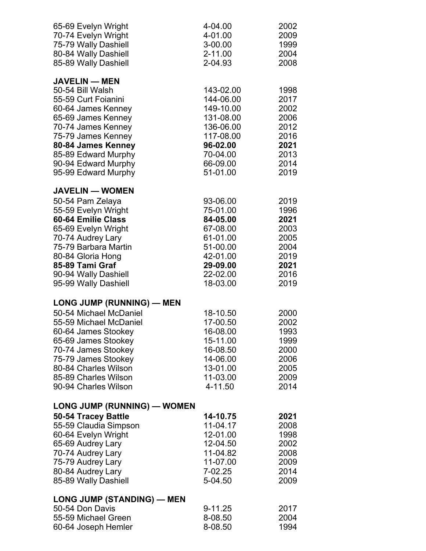| 65-69 Evelyn Wright<br>70-74 Evelyn Wright<br>75-79 Wally Dashiell<br>80-84 Wally Dashiell<br>85-89 Wally Dashiell                                                                                                                                       | 4-04.00<br>4-01.00<br>$3-00.00$<br>$2 - 11.00$<br>2-04.93                                                                  | 2002<br>2009<br>1999<br>2004<br>2008                                         |
|----------------------------------------------------------------------------------------------------------------------------------------------------------------------------------------------------------------------------------------------------------|----------------------------------------------------------------------------------------------------------------------------|------------------------------------------------------------------------------|
| <b>JAVELIN — MEN</b><br>50-54 Bill Walsh<br>55-59 Curt Foianini<br>60-64 James Kenney<br>65-69 James Kenney<br>70-74 James Kenney<br>75-79 James Kenney<br>80-84 James Kenney<br>85-89 Edward Murphy<br>90-94 Edward Murphy<br>95-99 Edward Murphy       | 143-02.00<br>144-06.00<br>149-10.00<br>131-08.00<br>136-06.00<br>117-08.00<br>96-02.00<br>70-04.00<br>66-09.00<br>51-01.00 | 1998<br>2017<br>2002<br>2006<br>2012<br>2016<br>2021<br>2013<br>2014<br>2019 |
| <b>JAVELIN - WOMEN</b><br>50-54 Pam Zelaya<br>55-59 Evelyn Wright<br>60-64 Emilie Class<br>65-69 Evelyn Wright<br>70-74 Audrey Lary<br>75-79 Barbara Martin<br>80-84 Gloria Hong<br>85-89 Tami Graf<br>90-94 Wally Dashiell<br>95-99 Wally Dashiell      | 93-06.00<br>75-01.00<br>84-05.00<br>67-08.00<br>61-01.00<br>51-00.00<br>42-01.00<br>29-09.00<br>22-02.00<br>18-03.00       | 2019<br>1996<br>2021<br>2003<br>2005<br>2004<br>2019<br>2021<br>2016<br>2019 |
| <b>LONG JUMP (RUNNING) - MEN</b><br>50-54 Michael McDaniel<br>55-59 Michael McDaniel<br>60-64 James Stookey<br>65-69 James Stookey<br>70-74 James Stookey<br>75-79 James Stookey<br>80-84 Charles Wilson<br>85-89 Charles Wilson<br>90-94 Charles Wilson | 18-10.50<br>17-00.50<br>16-08.00<br>15-11.00<br>16-08.50<br>14-06.00<br>13-01.00<br>11-03.00<br>4-11.50                    | 2000<br>2002<br>1993<br>1999<br>2000<br>2006<br>2005<br>2009<br>2014         |
| LONG JUMP (RUNNING) — WOMEN<br>50-54 Tracey Battle<br>55-59 Claudia Simpson<br>60-64 Evelyn Wright<br>65-69 Audrey Lary<br>70-74 Audrey Lary<br>75-79 Audrey Lary<br>80-84 Audrey Lary<br>85-89 Wally Dashiell                                           | 14-10.75<br>11-04.17<br>12-01.00<br>12-04.50<br>11-04.82<br>11-07.00<br>7-02.25<br>5-04.50                                 | 2021<br>2008<br>1998<br>2002<br>2008<br>2009<br>2014<br>2009                 |
| <b>LONG JUMP (STANDING) — MEN</b><br>50-54 Don Davis<br>55-59 Michael Green<br>60-64 Joseph Hemler                                                                                                                                                       | 9-11.25<br>8-08.50<br>8-08.50                                                                                              | 2017<br>2004<br>1994                                                         |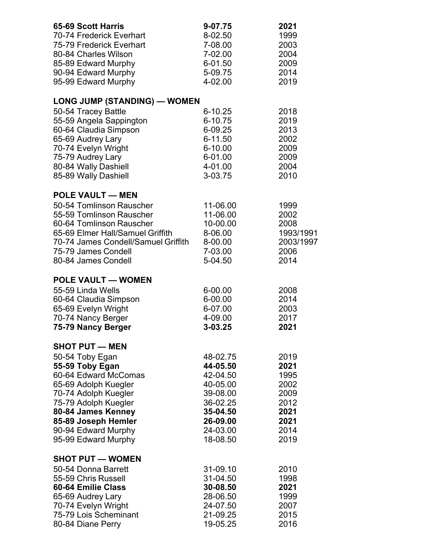| 65-69 Scott Harris                                         | 9-07.75              | 2021              |
|------------------------------------------------------------|----------------------|-------------------|
| 70-74 Frederick Everhart                                   | 8-02.50              | 1999              |
| 75-79 Frederick Everhart                                   | 7-08.00              | 2003              |
| 80-84 Charles Wilson                                       | 7-02.00              | 2004              |
| 85-89 Edward Murphy                                        | 6-01.50              | 2009              |
| 90-94 Edward Murphy                                        | 5-09.75              | 2014              |
| 95-99 Edward Murphy                                        | 4-02.00              | 2019              |
| <b>LONG JUMP (STANDING) — WOMEN</b>                        |                      |                   |
| 50-54 Tracey Battle                                        | $6 - 10.25$          | 2018              |
| 55-59 Angela Sappington                                    | 6-10.75              | 2019              |
| 60-64 Claudia Simpson                                      | 6-09.25              | 2013              |
| 65-69 Audrey Lary                                          | 6-11.50              | 2002              |
| 70-74 Evelyn Wright                                        | 6-10.00              | 2009              |
| 75-79 Audrey Lary                                          | 6-01.00              | 2009              |
| 80-84 Wally Dashiell                                       | 4-01.00<br>3-03.75   | 2004<br>2010      |
| 85-89 Wally Dashiell                                       |                      |                   |
| <b>POLE VAULT - MEN</b>                                    |                      |                   |
| 50-54 Tomlinson Rauscher                                   | 11-06.00             | 1999              |
| 55-59 Tomlinson Rauscher                                   | 11-06.00             | 2002              |
| 60-64 Tomlinson Rauscher                                   | 10-00.00             | 2008              |
| 65-69 Elmer Hall/Samuel Griffith                           | 8-06.00              | 1993/1991         |
| 70-74 James Condell/Samuel Griffith<br>75-79 James Condell | 8-00.00<br>7-03.00   | 2003/1997<br>2006 |
| 80-84 James Condell                                        | 5-04.50              | 2014              |
|                                                            |                      |                   |
| <b>POLE VAULT - WOMEN</b>                                  |                      |                   |
| 55-59 Linda Wells                                          | 6-00.00              | 2008              |
| 60-64 Claudia Simpson                                      | 6-00.00              | 2014              |
| 65-69 Evelyn Wright                                        | 6-07.00              | 2003              |
| 70-74 Nancy Berger                                         | 4-09.00              | 2017              |
| 75-79 Nancy Berger                                         | 3-03.25              | 2021              |
| <b>SHOT PUT - MEN</b>                                      |                      |                   |
| 50-54 Toby Egan                                            | 48-02.75             | 2019              |
| 55-59 Toby Egan                                            | 44-05.50             | 2021              |
| 60-64 Edward McComas                                       | 42-04.50             | 1995              |
| 65-69 Adolph Kuegler<br>70-74 Adolph Kuegler               | 40-05.00<br>39-08.00 | 2002<br>2009      |
| 75-79 Adolph Kuegler                                       | 36-02.25             | 2012              |
| 80-84 James Kenney                                         | 35-04.50             | 2021              |
| 85-89 Joseph Hemler                                        | 26-09.00             | 2021              |
| 90-94 Edward Murphy                                        | 24-03.00             | 2014              |
| 95-99 Edward Murphy                                        | 18-08.50             | 2019              |
| <b>SHOT PUT - WOMEN</b>                                    |                      |                   |
| 50-54 Donna Barrett                                        | 31-09.10             | 2010              |
| 55-59 Chris Russell                                        | 31-04.50             | 1998              |
| 60-64 Emilie Class                                         | 30-08.50             | 2021              |
| 65-69 Audrey Lary                                          | 28-06.50             | 1999              |
| 70-74 Evelyn Wright                                        | 24-07.50             | 2007              |
| 75-79 Lois Scheminant                                      | 21-09.25             | 2015              |
| 80-84 Diane Perry                                          | 19-05.25             | 2016              |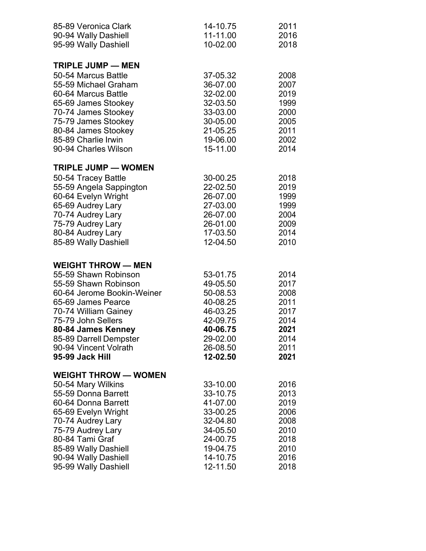| 85-89 Veronica Clark<br>90-94 Wally Dashiell | 14-10.75<br>11-11.00<br>10-02.00 | 2011<br>2016<br>2018 |
|----------------------------------------------|----------------------------------|----------------------|
| 95-99 Wally Dashiell                         |                                  |                      |
| <b>TRIPLE JUMP - MEN</b>                     |                                  |                      |
| 50-54 Marcus Battle<br>55-59 Michael Graham  | 37-05.32<br>36-07.00             | 2008<br>2007         |
| 60-64 Marcus Battle                          | 32-02.00                         | 2019                 |
| 65-69 James Stookey                          | 32-03.50                         | 1999                 |
| 70-74 James Stookey                          | 33-03.00                         | 2000                 |
| 75-79 James Stookey                          | 30-05.00                         | 2005                 |
| 80-84 James Stookey                          | 21-05.25                         | 2011                 |
| 85-89 Charlie Irwin                          | 19-06.00                         | 2002                 |
| 90-94 Charles Wilson                         | 15-11.00                         | 2014                 |
| <b>TRIPLE JUMP - WOMEN</b>                   |                                  |                      |
| 50-54 Tracey Battle                          | 30-00.25                         | 2018                 |
| 55-59 Angela Sappington                      | 22-02.50                         | 2019                 |
| 60-64 Evelyn Wright                          | 26-07.00                         | 1999                 |
| 65-69 Audrey Lary                            | 27-03.00                         | 1999                 |
| 70-74 Audrey Lary<br>75-79 Audrey Lary       | 26-07.00<br>26-01.00             | 2004<br>2009         |
| 80-84 Audrey Lary                            | 17-03.50                         | 2014                 |
| 85-89 Wally Dashiell                         | 12-04.50                         | 2010                 |
|                                              |                                  |                      |
| <b>WEIGHT THROW - MEN</b>                    |                                  |                      |
| 55-59 Shawn Robinson                         | 53-01.75                         | 2014                 |
| 55-59 Shawn Robinson                         | 49-05.50                         | 2017                 |
| 60-64 Jerome Bookin-Weiner                   | 50-08.53                         | 2008                 |
| 65-69 James Pearce                           | 40-08.25                         | 2011                 |
| 70-74 William Gainey                         | 46-03.25                         | 2017                 |
| 75-79 John Sellers                           | 42-09.75                         | 2014                 |
| 80-84 James Kenney                           | 40-06.75                         | 2021                 |
| 85-89 Darrell Dempster                       | 29-02.00                         | 2014                 |
| 90-94 Vincent Volrath<br>95-99 Jack Hill     | 26-08.50<br>12-02.50             | 2011<br>2021         |
|                                              |                                  |                      |
| <b>WEIGHT THROW - WOMEN</b>                  |                                  |                      |
| 50-54 Mary Wilkins                           | 33-10.00                         | 2016                 |
| 55-59 Donna Barrett                          | 33-10.75                         | 2013                 |
| 60-64 Donna Barrett                          | 41-07.00                         | 2019                 |
| 65-69 Evelyn Wright                          | 33-00.25                         | 2006                 |
| 70-74 Audrey Lary                            | 32-04.80                         | 2008                 |
| 75-79 Audrey Lary                            | 34-05.50                         | 2010                 |
| 80-84 Tami Graf                              | 24-00.75<br>19-04.75             | 2018<br>2010         |
| 85-89 Wally Dashiell<br>90-94 Wally Dashiell | 14-10.75                         | 2016                 |
| 95-99 Wally Dashiell                         | 12-11.50                         | 2018                 |
|                                              |                                  |                      |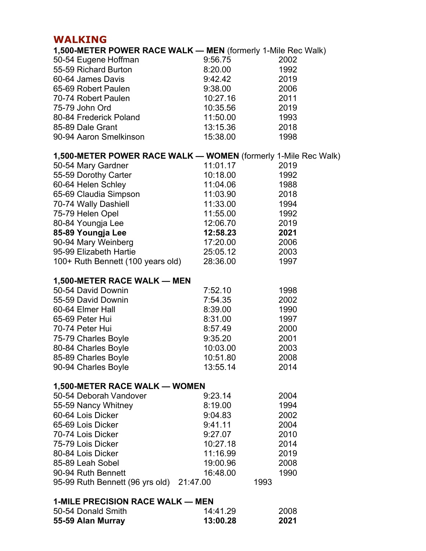## **WALKING**

| 1,500-METER POWER RACE WALK - MEN (formerly 1-Mile Rec Walk)   |               |      |
|----------------------------------------------------------------|---------------|------|
| 50-54 Eugene Hoffman                                           | 9:56.75       | 2002 |
| 55-59 Richard Burton                                           | 8:20.00       | 1992 |
| 60-64 James Davis                                              | 9:42.42       | 2019 |
| 65-69 Robert Paulen                                            | 9:38.00       | 2006 |
| 70-74 Robert Paulen                                            | 10:27.16      | 2011 |
| 75-79 John Ord                                                 | 10:35.56 2019 |      |
| 80-84 Frederick Poland                                         | 11:50.00 1993 |      |
| 85-89 Dale Grant                                               | 13:15.36      | 2018 |
| 90-94 Aaron Smelkinson                                         | 15:38.00      | 1998 |
| 1,500-METER POWER RACE WALK - WOMEN (formerly 1-Mile Rec Walk) |               |      |
| 50-54 Mary Gardner                                             | 11:01.17      | 2019 |
| 55-59 Dorothy Carter                                           | 10:18.00      | 1992 |
| 60-64 Helen Schley                                             | 11:04.06      | 1988 |
| 65-69 Claudia Simpson                                          | 11:03.90      | 2018 |
| 70-74 Wally Dashiell                                           | 11:33.00      | 1994 |
| 75-79 Helen Opel                                               | 11:55.00      | 1992 |
| 80-84 Youngja Lee                                              | 12:06.70      | 2019 |
| 85-89 Youngja Lee                                              | 12:58.23      | 2021 |
| 90-94 Mary Weinberg                                            | 17:20.00 2006 |      |
| 95-99 Elizabeth Hartie                                         | 25:05.12      | 2003 |
| 100+ Ruth Bennett (100 years old)                              | 28:36.00      | 1997 |
| 1,500-METER RACE WALK — MEN                                    |               |      |
| 50-54 David Downin                                             | 7:52.10       | 1998 |
| 55-59 David Downin                                             | 7:54.35       | 2002 |
| 60-64 Elmer Hall                                               | 8:39.00       | 1990 |
| 65-69 Peter Hui                                                | 8:31.00       | 1997 |
| 70-74 Peter Hui                                                | 8:57.49       | 2000 |
| 75-79 Charles Boyle                                            | 9:35.20       | 2001 |
| 80-84 Charles Boyle                                            | 10:03.00      | 2003 |
| 85-89 Charles Boyle                                            | 10:51.80      | 2008 |
| 90-94 Charles Boyle                                            | 13:55.14      | 2014 |
| 1,500-METER RACE WALK - WOMEN                                  |               |      |
| 50-54 Deborah Vandover                                         | 9:23.14       | 2004 |
| 55-59 Nancy Whitney                                            | 8:19.00       | 1994 |
| 60-64 Lois Dicker                                              | 9:04.83       | 2002 |
| 65-69 Lois Dicker                                              | 9:41.11       | 2004 |
| 70-74 Lois Dicker                                              | 9:27.07       | 2010 |
| 75-79 Lois Dicker                                              | 10:27.18      | 2014 |
| 80-84 Lois Dicker                                              | 11:16.99      | 2019 |
| 85-89 Leah Sobel                                               | 19:00.96      | 2008 |
| 90-94 Ruth Bennett                                             | 16:48.00      | 1990 |
| 95-99 Ruth Bennett (96 yrs old) 21:47.00                       | 1993          |      |
| <b>1-MILE PRECISION RACE WALK — MEN</b>                        |               |      |
| 50-54 Donald Smith                                             | 14:41.29      | 2008 |
| 55-59 Alan Murray                                              | 13:00.28      | 2021 |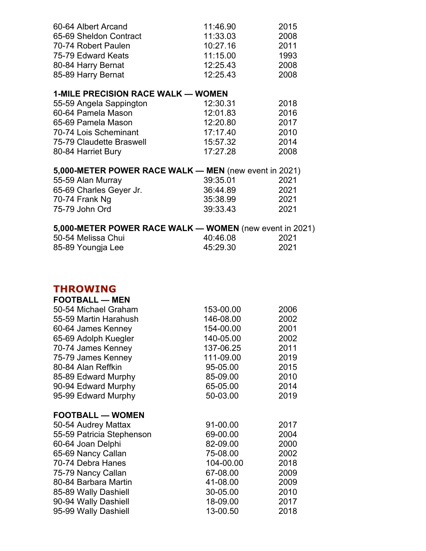| 60-64 Albert Arcand                                   | 11:46.90 | 2015 |
|-------------------------------------------------------|----------|------|
| 65-69 Sheldon Contract                                | 11:33.03 | 2008 |
| 70-74 Robert Paulen                                   | 10:27.16 | 2011 |
| 75-79 Edward Keats                                    | 11:15.00 | 1993 |
| 80-84 Harry Bernat                                    | 12:25.43 | 2008 |
| 85-89 Harry Bernat                                    | 12:25.43 | 2008 |
| <b>1-MILE PRECISION RACE WALK — WOMEN</b>             |          |      |
| 55-59 Angela Sappington                               | 12:30.31 | 2018 |
| 60-64 Pamela Mason                                    | 12:01.83 | 2016 |
| 65-69 Pamela Mason                                    | 12:20.80 | 2017 |
| 70-74 Lois Scheminant                                 | 17.17.40 | 2010 |
| 75-79 Claudette Braswell                              | 15:57.32 | 2014 |
| 80-84 Harriet Bury                                    | 17:27.28 | 2008 |
| 5,000-METER POWER RACE WALK — MEN (new event in 2021) |          |      |
| 55-59 Alan Murray                                     | 39:35.01 | 2021 |
| 65-69 Charles Geyer Jr.                               | 36.44.89 | 2021 |

| 5,000-METER POWER RACE WALK — WOMEN (new event in 2021) |          |      |  |
|---------------------------------------------------------|----------|------|--|
| 75-79 John Ord                                          | 39 33 43 | 2021 |  |
| 70-74 Frank Ng                                          | 35:38.99 | 2021 |  |

| <b>5,000-METER POWER RAGE WALK — WOMEN (New event in 2021)</b> |          |      |  |
|----------------------------------------------------------------|----------|------|--|
| 50-54 Melissa Chui                                             | 40:46.08 | 2021 |  |
| 85-89 Youngja Lee                                              | 45:29.30 | 2021 |  |

## **THROWING**

| <b>THROWING</b>         |           |      |
|-------------------------|-----------|------|
| <b>FOOTBALL — MEN</b>   |           |      |
| 50-54 Michael Graham    | 153-00.00 | 2006 |
| 55-59 Martin Harahush   | 146-08.00 | 2002 |
| 60-64 James Kenney      | 154-00.00 | 2001 |
| 65-69 Adolph Kuegler    | 140-05.00 | 2002 |
| 70-74 James Kenney      | 137-06.25 | 2011 |
| 75-79 James Kenney      | 111-09.00 | 2019 |
| 80-84 Alan Reffkin      | 95-05.00  | 2015 |
| 85-89 Edward Murphy     | 85-09.00  | 2010 |
| 90-94 Edward Murphy     | 65-05.00  | 2014 |
| 95-99 Edward Murphy     | 50-03.00  | 2019 |
| <b>FOOTBALL — WOMEN</b> |           |      |
| 50-54 Audrey Mattax     | 91-00 00  | 2017 |

| 50-54 Audrey Mattax       | 91-00.00  | 2017 |
|---------------------------|-----------|------|
| 55-59 Patricia Stephenson | 69-00.00  | 2004 |
| 60-64 Joan Delphi         | 82-09.00  | 2000 |
| 65-69 Nancy Callan        | 75-08.00  | 2002 |
| 70-74 Debra Hanes         | 104-00.00 | 2018 |
| 75-79 Nancy Callan        | 67-08.00  | 2009 |
| 80-84 Barbara Martin      | 41-08.00  | 2009 |
| 85-89 Wally Dashiell      | 30-05.00  | 2010 |
| 90-94 Wally Dashiell      | 18-09.00  | 2017 |
| 95-99 Wally Dashiell      | 13-00.50  | 2018 |